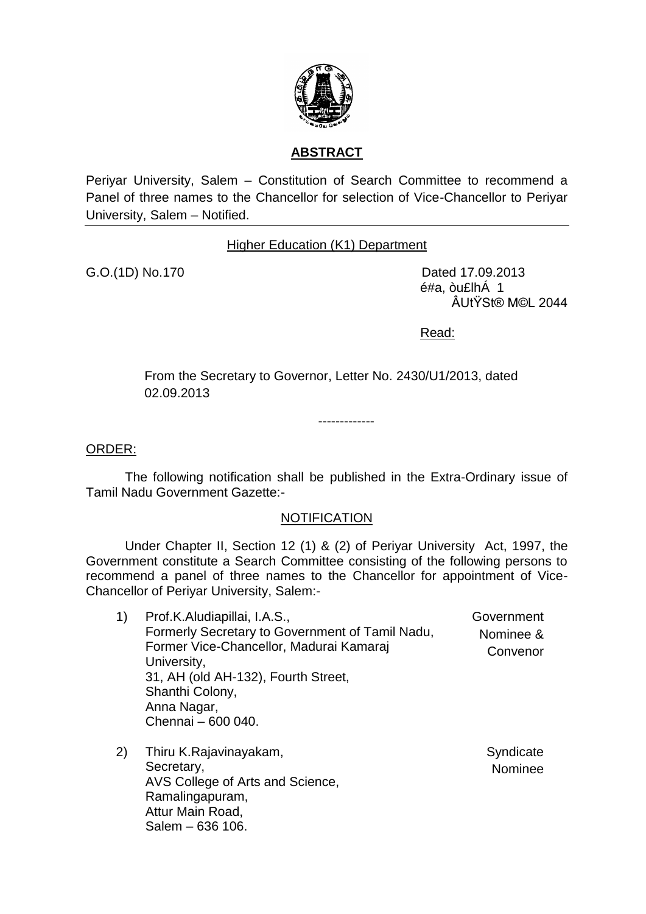

## **ABSTRACT**

Periyar University, Salem – Constitution of Search Committee to recommend a Panel of three names to the Chancellor for selection of Vice-Chancellor to Periyar University, Salem – Notified.

## Higher Education (K1) Department

G.O.(1D) No.170 Dated 17.09.2013 é#a, òu£lhÁ 1 ÂUtŸSt® M©L 2044

Read:

From the Secretary to Governor, Letter No. 2430/U1/2013, dated 02.09.2013

-------------

ORDER:

The following notification shall be published in the Extra-Ordinary issue of Tamil Nadu Government Gazette:-

## **NOTIFICATION**

Under Chapter II, Section 12 (1) & (2) of Periyar University Act, 1997, the Government constitute a Search Committee consisting of the following persons to recommend a panel of three names to the Chancellor for appointment of Vice-Chancellor of Periyar University, Salem:-

- 1) Prof.K.Aludiapillai, I.A.S., Formerly Secretary to Government of Tamil Nadu, Former Vice-Chancellor, Madurai Kamaraj University, 31, AH (old AH-132), Fourth Street, Shanthi Colony, Anna Nagar, Chennai – 600 040. Government Nominee & Convenor
- 2) Thiru K.Rajavinayakam, Secretary, AVS College of Arts and Science, Ramalingapuram, Attur Main Road, Salem – 636 106. **Syndicate** Nominee